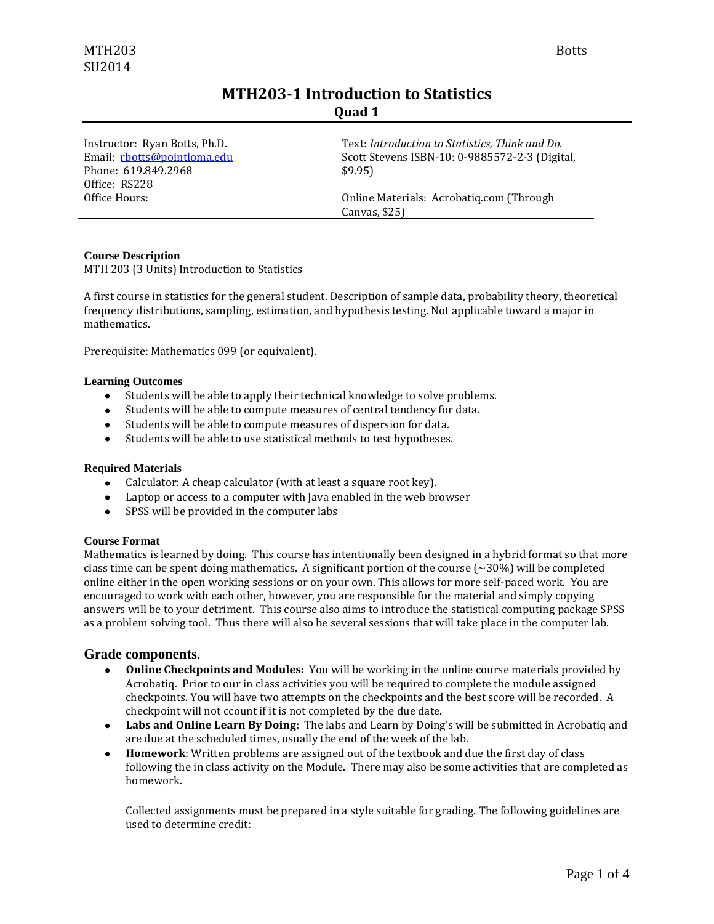# **MTH203-1 Introduction to Statistics Quad 1**

Instructor: Ryan Botts, Ph.D. Email: [rbotts@pointloma.edu](mailto:rbotts@pointloma.edu) Phone: 619.849.2968 Office: RS228 Office Hours:

Text: *Introduction to Statistics, Think and Do.* Scott Stevens ISBN-10: 0-9885572-2-3 (Digital, \$9.95)

Online Materials: Acrobatiq.com (Through Canvas, \$25)

#### **Course Description**

MTH 203 (3 Units) Introduction to Statistics

A first course in statistics for the general student. Description of sample data, probability theory, theoretical frequency distributions, sampling, estimation, and hypothesis testing. Not applicable toward a major in mathematics.

Prerequisite: Mathematics 099 (or equivalent).

#### **Learning Outcomes**

- $\bullet$ Students will be able to apply their technical knowledge to solve problems.
- $\bullet$ Students will be able to compute measures of central tendency for data.
- Students will be able to compute measures of dispersion for data.
- Students will be able to use statistical methods to test hypotheses.  $\bullet$

#### **Required Materials**

- Calculator: A cheap calculator (with at least a square root key).  $\bullet$
- Laptop or access to a computer with Java enabled in the web browser
- SPSS will be provided in the computer labs

#### **Course Format**

Mathematics is learned by doing. This course has intentionally been designed in a hybrid format so that more class time can be spent doing mathematics. A significant portion of the course  $\left(\sim 30\% \right)$  will be completed online either in the open working sessions or on your own. This allows for more self-paced work. You are encouraged to work with each other, however, you are responsible for the material and simply copying answers will be to your detriment. This course also aims to introduce the statistical computing package SPSS as a problem solving tool. Thus there will also be several sessions that will take place in the computer lab.

## **Grade components**.

- **Online Checkpoints and Modules:** You will be working in the online course materials provided by Acrobatiq. Prior to our in class activities you will be required to complete the module assigned checkpoints. You will have two attempts on the checkpoints and the best score will be recorded. A checkpoint will not ccount if it is not completed by the due date.
- **Labs and Online Learn By Doing:** The labs and Learn by Doing's will be submitted in Acrobatiq and are due at the scheduled times, usually the end of the week of the lab.
- **Homework**: Written problems are assigned out of the textbook and due the first day of class  $\bullet$ following the in class activity on the Module. There may also be some activities that are completed as homework.

Collected assignments must be prepared in a style suitable for grading. The following guidelines are used to determine credit: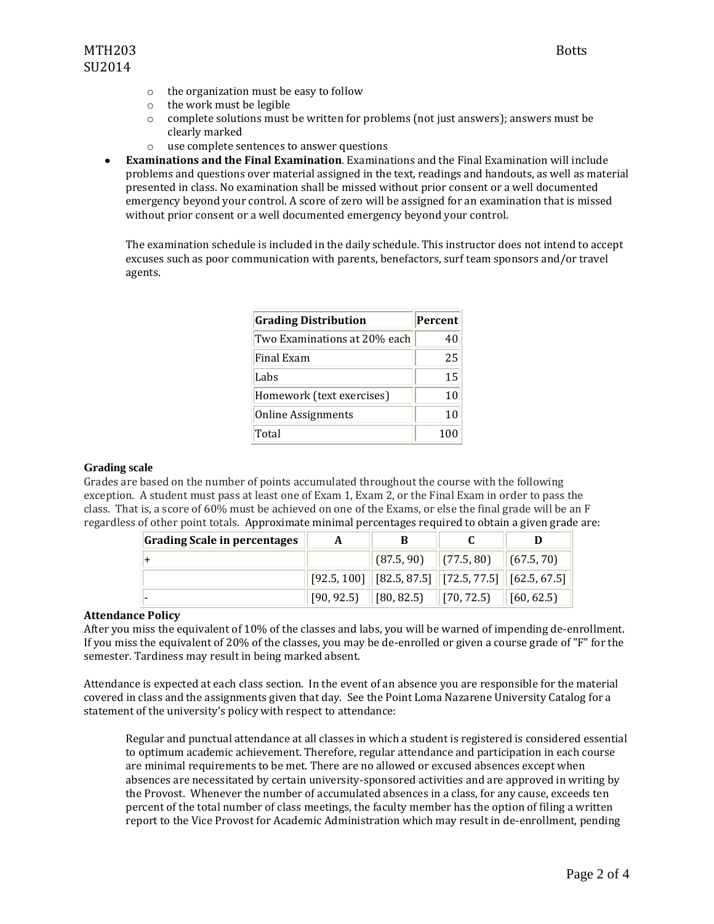- o the organization must be easy to follow
- o the work must be legible
- $\circ$  complete solutions must be written for problems (not just answers); answers must be clearly marked
- o use complete sentences to answer questions
- **Examinations and the Final Examination**. Examinations and the Final Examination will include  $\bullet$ problems and questions over material assigned in the text, readings and handouts, as well as material presented in class. No examination shall be missed without prior consent or a well documented emergency beyond your control. A score of zero will be assigned for an examination that is missed without prior consent or a well documented emergency beyond your control.

The examination schedule is included in the daily schedule. This instructor does not intend to accept excuses such as poor communication with parents, benefactors, surf team sponsors and/or travel agents.

| <b>Grading Distribution</b>  | Percent |
|------------------------------|---------|
| Two Examinations at 20% each | 40      |
| Final Exam                   | 25      |
| Labs                         | 15      |
| Homework (text exercises)    | 10      |
| <b>Online Assignments</b>    | 10      |
| Total                        | 100     |

#### **Grading scale**

Grades are based on the number of points accumulated throughout the course with the following exception. A student must pass at least one of Exam 1, Exam 2, or the Final Exam in order to pass the class. That is, a score of 60% must be achieved on one of the Exams, or else the final grade will be an F regardless of other point totals. Approximate minimal percentages required to obtain a given grade are:

| <b>Grading Scale in percentages</b> |                                                                                       |            |
|-------------------------------------|---------------------------------------------------------------------------------------|------------|
|                                     | $\left(87.5, 90\right)$ $\left(77.5, 80\right)$ $\left(67.5, 70\right)$               |            |
|                                     | $\mid$ [92.5, 100] $\mid$ [82.5, 87.5] $\mid$ [72.5, 77.5] $\mid$ [62.5, 67.5] $\mid$ |            |
|                                     | $[90, 92.5]$ $[80, 82.5]$ $[70, 72.5]$                                                | (60, 62.5) |

#### **Attendance Policy**

After you miss the equivalent of 10% of the classes and labs, you will be warned of impending de-enrollment. If you miss the equivalent of 20% of the classes, you may be de-enrolled or given a course grade of "F" for the semester. Tardiness may result in being marked absent.

Attendance is expected at each class section. In the event of an absence you are responsible for the material covered in class and the assignments given that day. See the Point Loma Nazarene University Catalog for a statement of the university's policy with respect to attendance:

Regular and punctual attendance at all classes in which a student is registered is considered essential to optimum academic achievement. Therefore, regular attendance and participation in each course are minimal requirements to be met. There are no allowed or excused absences except when absences are necessitated by certain university-sponsored activities and are approved in writing by the Provost. Whenever the number of accumulated absences in a class, for any cause, exceeds ten percent of the total number of class meetings, the faculty member has the option of filing a written report to the Vice Provost for Academic Administration which may result in de-enrollment, pending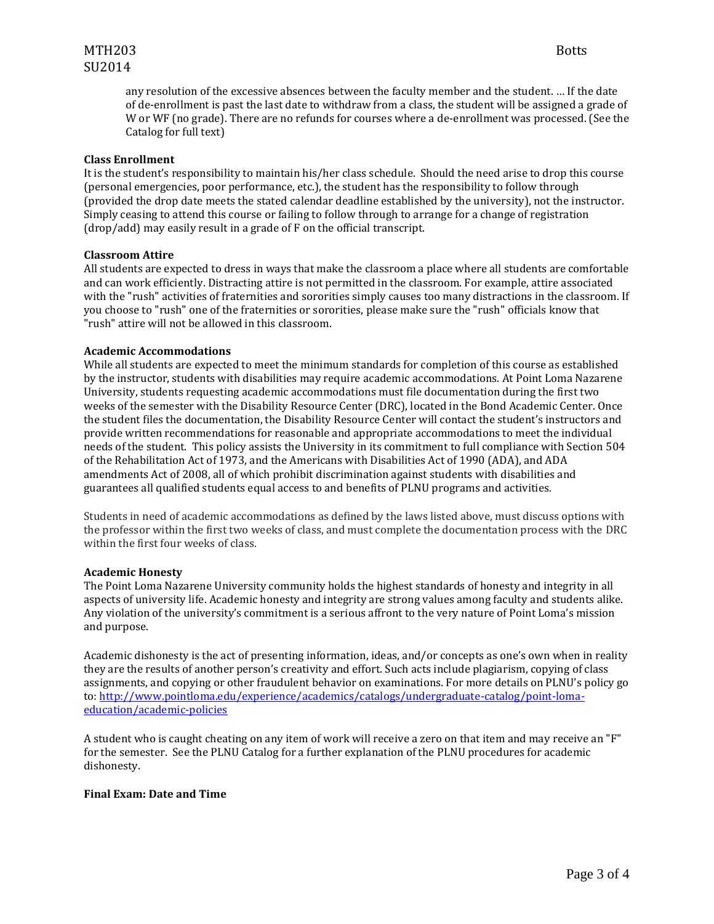any resolution of the excessive absences between the faculty member and the student. … If the date of de-enrollment is past the last date to withdraw from a class, the student will be assigned a grade of W or WF (no grade). There are no refunds for courses where a de-enrollment was processed. (See the Catalog for full text)

#### **Class Enrollment**

It is the student's responsibility to maintain his/her class schedule. Should the need arise to drop this course (personal emergencies, poor performance, etc.), the student has the responsibility to follow through (provided the drop date meets the stated calendar deadline established by the university), not the instructor. Simply ceasing to attend this course or failing to follow through to arrange for a change of registration (drop/add) may easily result in a grade of F on the official transcript.

#### **Classroom Attire**

All students are expected to dress in ways that make the classroom a place where all students are comfortable and can work efficiently. Distracting attire is not permitted in the classroom. For example, attire associated with the "rush" activities of fraternities and sororities simply causes too many distractions in the classroom. If you choose to "rush" one of the fraternities or sororities, please make sure the "rush" officials know that "rush" attire will not be allowed in this classroom.

#### **Academic Accommodations**

While all students are expected to meet the minimum standards for completion of this course as established by the instructor, students with disabilities may require academic accommodations. At Point Loma Nazarene University, students requesting academic accommodations must file documentation during the first two weeks of the semester with the Disability Resource Center (DRC), located in the Bond Academic Center. Once the student files the documentation, the Disability Resource Center will contact the student's instructors and provide written recommendations for reasonable and appropriate accommodations to meet the individual needs of the student. This policy assists the University in its commitment to full compliance with Section 504 of the Rehabilitation Act of 1973, and the Americans with Disabilities Act of 1990 (ADA), and ADA amendments Act of 2008, all of which prohibit discrimination against students with disabilities and guarantees all qualified students equal access to and benefits of PLNU programs and activities.

Students in need of academic accommodations as defined by the laws listed above, must discuss options with the professor within the first two weeks of class, and must complete the documentation process with the DRC within the first four weeks of class.

#### **Academic Honesty**

The Point Loma Nazarene University community holds the highest standards of honesty and integrity in all aspects of university life. Academic honesty and integrity are strong values among faculty and students alike. Any violation of the university's commitment is a serious affront to the very nature of Point Loma's mission and purpose.

Academic dishonesty is the act of presenting information, ideas, and/or concepts as one's own when in reality they are the results of another person's creativity and effort. Such acts include plagiarism, copying of class assignments, and copying or other fraudulent behavior on examinations. For more details on PLNU's policy go to[: http://www.pointloma.edu/experience/academics/catalogs/undergraduate-catalog/point-loma](http://www.pointloma.edu/experience/academics/catalogs/undergraduate-catalog/point-loma-education/academic-policies)[education/academic-policies](http://www.pointloma.edu/experience/academics/catalogs/undergraduate-catalog/point-loma-education/academic-policies)

A student who is caught cheating on any item of work will receive a zero on that item and may receive an "F" for the semester. See the PLNU Catalog for a further explanation of the PLNU procedures for academic dishonesty.

#### **Final Exam: Date and Time**